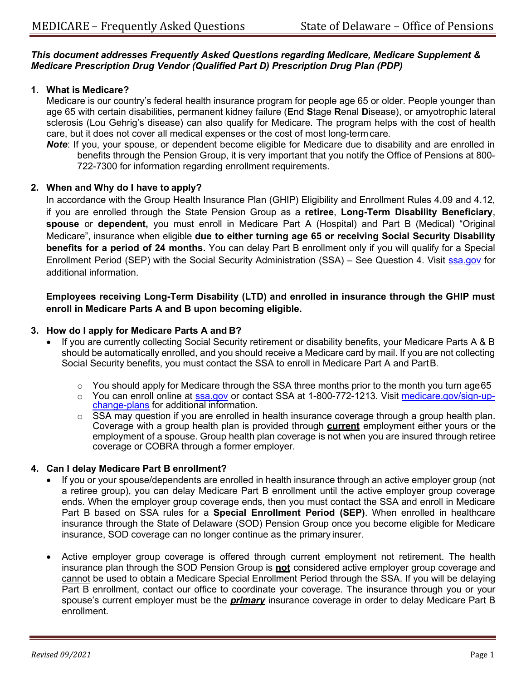### *This document addresses Frequently Asked Questions regarding Medicare, Medicare Supplement & Medicare Prescription Drug Vendor (Qualified Part D) Prescription Drug Plan (PDP)*

## **1. What is Medicare?**

Medicare is our country's federal health insurance program for people age 65 or older. People younger than age 65 with certain disabilities, permanent kidney failure (**E**nd **S**tage **R**enal **D**isease), or amyotrophic lateral sclerosis (Lou Gehrig's disease) can also qualify for Medicare. The program helps with the cost of health care, but it does not cover all medical expenses or the cost of most long-term care.

*Note*: If you, your spouse, or dependent become eligible for Medicare due to disability and are enrolled in benefits through the Pension Group, it is very important that you notify the Office of Pensions at 800- 722-7300 for information regarding enrollment requirements.

## **2. When and Why do I have to apply?**

In accordance with the Group Health Insurance Plan (GHIP) Eligibility and Enrollment Rules 4.09 and 4.12, if you are enrolled through the State Pension Group as a **retiree**, **Long-Term Disability Beneficiary**, **spouse** or **dependent,** you must enroll in Medicare Part A (Hospital) and Part B (Medical) "Original Medicare", insurance when eligible **due to either turning age 65 or receiving Social Security Disability benefits for a period of 24 months.** You can delay Part B enrollment only if you will qualify for a Special Enrollment Period (SEP) with the Social Security Administration (SSA) – See Question 4. Visit [ssa.gov](https://www.ssa.gov/) for additional information.

## **Employees receiving Long-Term Disability (LTD) and enrolled in insurance through the GHIP must enroll in Medicare Parts A and B upon becoming eligible.**

## **3. How do I apply for Medicare Parts A and B?**

- If you are currently collecting Social Security retirement or disability benefits, your Medicare Parts A & B should be automatically enrolled, and you should receive a Medicare card by mail. If you are not collecting Social Security benefits, you must contact the SSA to enroll in Medicare Part A and PartB.
	- o You should apply for Medicare through the SSA three months prior to the month you turn [age65](https://www.medicare.gov/sign-up-change-plans/)
	- o [You can enroll o](https://www.medicare.gov/sign-up-change-plans/)nline at [ssa.gov](https://www.ssa.gov/) or contact SSA at 1-800-772-1213. Visit medicare.gov/sign-up-<br>change-plans for additional information.
	- $\circ$  SSA may question if you are enrolled in health insurance coverage through a group health plan. Coverage with a group health plan is provided through **current** employment either yours or the employment of a spouse. Group health plan coverage is not when you are insured through retiree coverage or COBRA through a former employer.

## **4. Can I delay Medicare Part B enrollment?**

- If you or your spouse/dependents are enrolled in health insurance through an active employer group (not a retiree group), you can delay Medicare Part B enrollment until the active employer group coverage ends. When the employer group coverage ends, then you must contact the SSA and enroll in Medicare Part B based on SSA rules for a **Special Enrollment Period (SEP)**. When enrolled in healthcare insurance through the State of Delaware (SOD) Pension Group once you become eligible for Medicare insurance, SOD coverage can no longer continue as the primary insurer.
- Active employer group coverage is offered through current employment not retirement. The health insurance plan through the SOD Pension Group is **not** considered active employer group coverage and cannot be used to obtain a Medicare Special Enrollment Period through the SSA. If you will be delaying Part B enrollment, contact our office to coordinate your coverage. The insurance through you or your spouse's current employer must be the *primary* insurance coverage in order to delay Medicare Part B enrollment.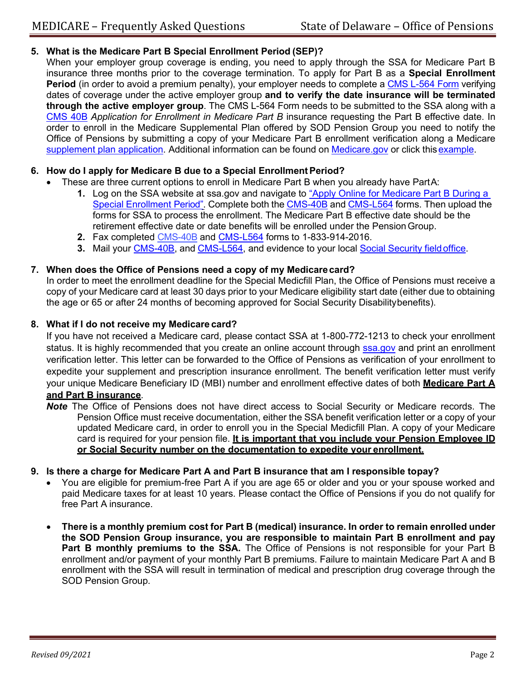# **5. What is the Medicare Part B Special Enrollment Period (SEP)?**

When your employer group coverage is ending, you need to apply through the SSA for Medicare Part B insurance three months prior to the coverage termination. To apply for Part B as a **Special Enrollment Period** (in order to avoid a premium penalty), your employer needs to complete a CMS [L-564](https://www.cms.gov/Medicare/CMS-Forms/CMS-Forms/CMS-Forms-Items/CMS009718) Form verifying dates of coverage under the active employer group **and to verify the date insurance will be terminated through the active employer group**. The CMS L-564 Form needs to be submitted to the SSA along with a [CMS 40B](https://www.cms.gov/Medicare/CMS-Forms/CMS-Forms/CMS-Forms-Items/CMS017339) *Application for Enrollment in Medicare Part B* insurance requesting the Part B effective date. In order to enroll in the Medicare Supplemental Plan offered by SOD Pension Group you need to notify the Office of Pensions by submitting a copy of your Medicare Part B enrollment verification along a Medicare [supplement](https://open.omb.delaware.gov/forms/retireeForms/ApplicationHealth-SpecMedPlanOnly2018.pdf) plan application. Additional information can be found on [Medicare.gov](https://www.medicare.gov/sign-up-change-plans/when-can-i-join-a-health-or-drug-plan/special-circumstances-special-enrollment-periods) or click thi[sexample.](https://www.medicarerights.org/PartB-Enrollment-Toolkit/PartB-Special-Enrollment-Period.pdf)

# **6. How do I apply for Medicare B due to a Special EnrollmentPeriod?**

- These are three current options to enroll in Medicare Part B when you already have PartA:
	- **1.** Log on the SSA website at ssa.gov and navigate to ["Apply Online for Medicare Part B During a](https://secure.ssa.gov/mpboa/medicare-part-b-online-application/) Special [Enrollment](https://secure.ssa.gov/mpboa/medicare-part-b-online-application/) Period". Complete both the [CMS-40B](https://www.cms.gov/Medicare/CMS-Forms/CMS-Forms/CMS-Forms-Items/CMS017339) and [CMS-L564](https://www.cms.gov/Medicare/CMS-Forms/CMS-Forms/CMS-Forms-Items/CMS009718) forms. Then upload the forms for SSA to process the enrollment. The Medicare Part B effective date should be the retirement effective date or date benefits will be enrolled under the PensionGroup.
	- **2.** Fax completed [CMS-40B](https://www.cms.gov/Medicare/CMS-Forms/CMS-Forms/CMS-Forms-Items/CMS017339) and [CMS-L564](https://www.cms.gov/Medicare/CMS-Forms/CMS-Forms/CMS-Forms-Items/CMS009718) forms to 1-833-914-2016.
	- **3.** Mail your [CMS-40B,](https://www.cms.gov/Medicare/CMS-Forms/CMS-Forms/CMS-Forms-Items/CMS017339) and [CMS-L564, a](https://www.cms.gov/Medicare/CMS-Forms/CMS-Forms/CMS-Forms-Items/CMS009718)nd evidence to your local Social Security [fieldoffice.](https://www.ssa.gov/locator/)

# **7. When does the Office of Pensions need a copy of my Medicarecard?**

In order to meet the enrollment deadline for the Special Medicfill Plan, the Office of Pensions must receive a copy of your Medicare card at least 30 days prior to your Medicare eligibility start date (either due to obtaining the age or 65 or after 24 months of becoming approved for Social Security Disabilitybenefits).

# **8. What if I do not receive my Medicare card?**

If you have not received a Medicare card, please contact SSA at 1-800-772-1213 to check your enrollment status. It is highly recommended that you create an online account through [ssa.gov](https://www.ssa.gov/) and print an enrollment verification letter. This letter can be forwarded to the Office of Pensions as verification of your enrollment to expedite your supplement and prescription insurance enrollment. The benefit verification letter must verify your unique Medicare Beneficiary ID (MBI) number and enrollment effective dates of both **Medicare Part A and Part B insurance**.

- *Note* The Office of Pensions does not have direct access to Social Security or Medicare records. The Pension Office must receive documentation, either the SSA benefit verification letter or a copy of your updated Medicare card, in order to enroll you in the Special Medicfill Plan. A copy of your Medicare card is required for your pension file. **It is important that you include your Pension Employee ID or Social Security number on the documentation to expedite your enrollment.**
- **9. Is there a charge for Medicare Part A and Part B insurance that am I responsible topay?**
	- You are eligible for premium-free Part A if you are age 65 or older and you or your spouse worked and paid Medicare taxes for at least 10 years. Please contact the Office of Pensions if you do not qualify for free Part A insurance.
	- **There is a monthly premium cost for Part B (medical) insurance. In order to remain enrolled under the SOD Pension Group insurance, you are responsible to maintain Part B enrollment and pay**  Part B monthly premiums to the SSA. The Office of Pensions is not responsible for your Part B enrollment and/or payment of your monthly Part B premiums. Failure to maintain Medicare Part A and B enrollment with the SSA will result in termination of medical and prescription drug coverage through the SOD Pension Group.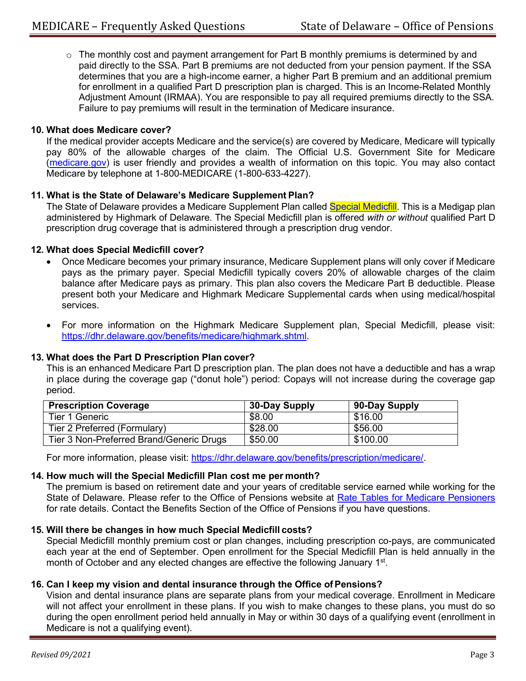$\circ$  The monthly cost and payment arrangement for Part B monthly premiums is determined by and paid directly to the SSA. Part B premiums are not deducted from your pension payment. If the SSA determines that you are a high-income earner, a higher Part B premium and an additional premium for enrollment in a qualified Part D prescription plan is charged. This is an Income-Related Monthly Adjustment Amount (IRMAA). You are responsible to pay all required premiums directly to the SSA. Failure to pay premiums will result in the termination of Medicare insurance.

## **10. What does Medicare cover?**

If the medical provider accepts Medicare and the service(s) are covered by Medicare, Medicare will typically pay 80% of the allowable charges of the claim. The Official U.S. Government Site for Medicare [\(medicare.gov\)](https://www.medicare.gov/) is user friendly and provides a wealth of information on this topic. You may also contact Medicare by telephone at 1-800-MEDICARE (1-800-633-4227).

### **11. What is the State of Delaware's Medicare Supplement Plan?**

The State of Delaware provides a Medicare Supplement Plan called Special [Medicfill.](https://dhr.delaware.gov/benefits/medicare/plan-booklet.shtml) This is a Medigap plan administered by Highmark of Delaware. The Special Medicfill plan is offered *with or without* qualified Part D prescription drug coverage that is administered through a prescription drug vendor.

#### **12. What does Special Medicfill cover?**

- Once Medicare becomes your primary insurance, Medicare Supplement plans will only cover if Medicare pays as the primary payer. Special Medicfill typically covers 20% of allowable charges of the claim balance after Medicare pays as primary. This plan also covers the Medicare Part B deductible. Please present both your Medicare and Highmark Medicare Supplemental cards when using medical/hospital services.
- For more information on the Highmark Medicare Supplement plan, Special Medicfill, please visit: [https://dhr.delaware.gov/benefits/medicare/highmark.shtml.](https://dhr.delaware.gov/benefits/medicare/highmark.shtml)

## **13. What does the Part D Prescription Plan cover?**

This is an enhanced Medicare Part D prescription plan. The plan does not have a deductible and has a wrap in place during the coverage gap ("donut hole") period: Copays will not increase during the coverage gap period.

| <b>Prescription Coverage</b>             | 30-Day Supply | 90-Day Supply |
|------------------------------------------|---------------|---------------|
| Tier 1 Generic                           | \$8.00        | \$16.00       |
| Tier 2 Preferred (Formulary)             | \$28.00       | \$56.00       |
| Tier 3 Non-Preferred Brand/Generic Drugs | \$50.00       | \$100.00      |

For more information, please visit: [https://dhr.delaware.gov/benefits/prescription/medicare/.](https://dhr.delaware.gov/benefits/prescription/medicare/)

### **14. How much will the Special Medicfill Plan cost me per month?**

The premium is based on retirement date and your years of creditable service earned while working for the State of Delaware. Please refer to the Office of Pensions website at [Rate Tables for Medicare Pensioners](https://open.omb.delaware.gov/pensionPlans/StateEmp/sep_health.shtml) for rate details. Contact the Benefits Section of the Office of Pensions if you have questions.

#### **15. Will there be changes in how much Special Medicfill costs?**

Special Medicfill monthly premium cost or plan changes, including prescription co-pays, are communicated each year at the end of September. Open enrollment for the Special Medicfill Plan is held annually in the month of October and any elected changes are effective the following January 1<sup>st</sup>.

### **16. Can I keep my vision and dental insurance through the Office of Pensions?**

Vision and dental insurance plans are separate plans from your medical coverage. Enrollment in Medicare will not affect your enrollment in these plans. If you wish to make changes to these plans, you must do so during the open enrollment period held annually in May or within 30 days of a qualifying event (enrollment in Medicare is not a qualifying event).